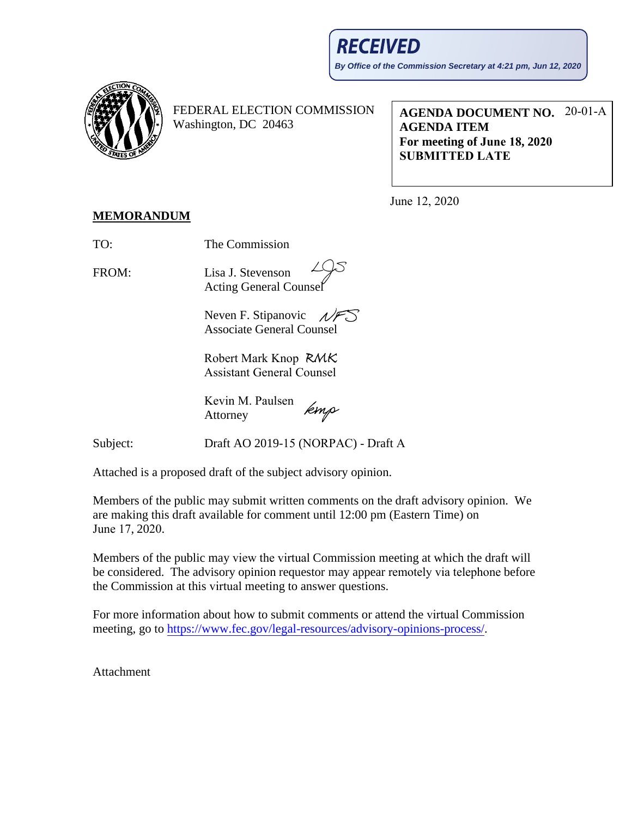

FEDERAL ELECTION COMMISSION Washington, DC 20463

**AGENDA DOCUMENT NO.**  20-01-A **AGENDA ITEM For meeting of June 18, 2020 SUBMITTED LATE**

June 12, 2020

## **MEMORANDUM**

TO: The Commission

FROM: Lisa J. Stevenson Acting General Counsel

> Neven F. Stipanovic  $\mathcal{N}$ Associate General Counsel

Robert Mark Knop Assistant General Counsel

Kevin M. Paulsen kmp Attorney

Subject:

Draft AO 2019-15 (NORPAC) - Draft A

Attached is a proposed draft of the subject advisory opinion.

Members of the public may submit written comments on the draft advisory opinion. We are making this draft available for comment until 12:00 pm (Eastern Time) on June 17, 2020.

Members of the public may view the virtual Commission meeting at which the draft will be considered. The advisory opinion requestor may appear remotely via telephone before the Commission at this virtual meeting to answer questions.

For more information about how to submit comments or attend the virtual Commission meet[ing, go to https://www.fec.gov/legal-resources/advisory-opinions-](https://www.fec.gov/legal-resources/advisory-opinions-process/)process/.

Attachment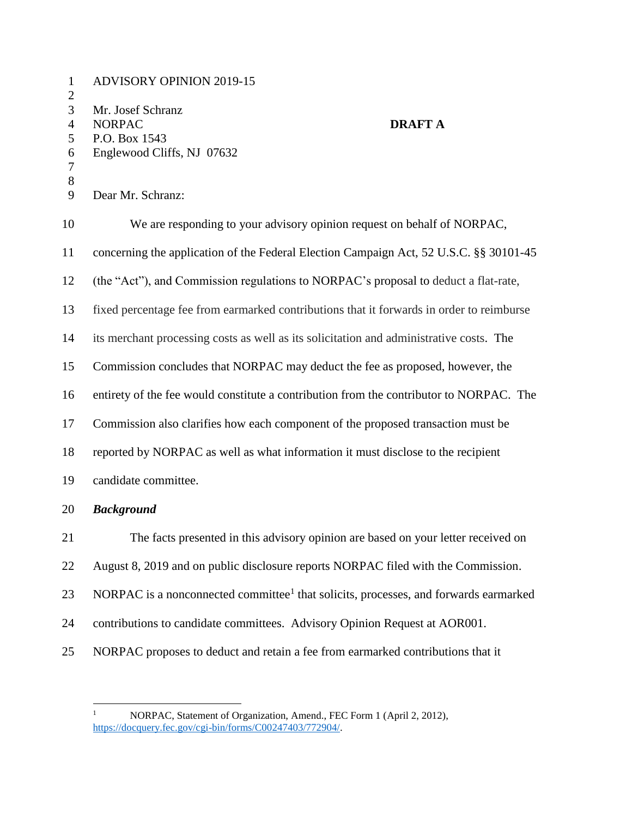| $\mathbf{1}$<br>$\overline{2}$ | <b>ADVISORY OPINION 2019-15</b>                                                                  |                |
|--------------------------------|--------------------------------------------------------------------------------------------------|----------------|
| 3                              | Mr. Josef Schranz                                                                                |                |
| $\overline{4}$                 | <b>NORPAC</b>                                                                                    | <b>DRAFT A</b> |
| 5                              | P.O. Box 1543                                                                                    |                |
| 6<br>7                         | Englewood Cliffs, NJ 07632                                                                       |                |
| 8                              |                                                                                                  |                |
| 9                              | Dear Mr. Schranz:                                                                                |                |
| 10                             | We are responding to your advisory opinion request on behalf of NORPAC,                          |                |
| 11                             | concerning the application of the Federal Election Campaign Act, 52 U.S.C. §§ 30101-45           |                |
| 12                             | (the "Act"), and Commission regulations to NORPAC's proposal to deduct a flat-rate,              |                |
| 13                             | fixed percentage fee from earmarked contributions that it forwards in order to reimburse         |                |
| 14                             | its merchant processing costs as well as its solicitation and administrative costs. The          |                |
| 15                             | Commission concludes that NORPAC may deduct the fee as proposed, however, the                    |                |
| 16                             | entirety of the fee would constitute a contribution from the contributor to NORPAC. The          |                |
| 17                             | Commission also clarifies how each component of the proposed transaction must be                 |                |
| 18                             | reported by NORPAC as well as what information it must disclose to the recipient                 |                |
| 19                             | candidate committee.                                                                             |                |
| 20                             | <b>Background</b>                                                                                |                |
| 21                             | The facts presented in this advisory opinion are based on your letter received on                |                |
| 22                             | August 8, 2019 and on public disclosure reports NORPAC filed with the Commission.                |                |
| 23                             | NORPAC is a nonconnected committee <sup>1</sup> that solicits, processes, and forwards earmarked |                |
| 24                             | contributions to candidate committees. Advisory Opinion Request at AOR001.                       |                |
| 25                             | NORPAC proposes to deduct and retain a fee from earmarked contributions that it                  |                |

 $\overline{a}$ 

<sup>&</sup>lt;sup>1</sup> NORPAC, Statement of Organization, Amend., FEC Form 1 (April 2, 2012), [https://docquery.fec.gov/cgi-bin/forms/C00247403/772904/.](https://docquery.fec.gov/cgi-bin/forms/C00247403/772904/)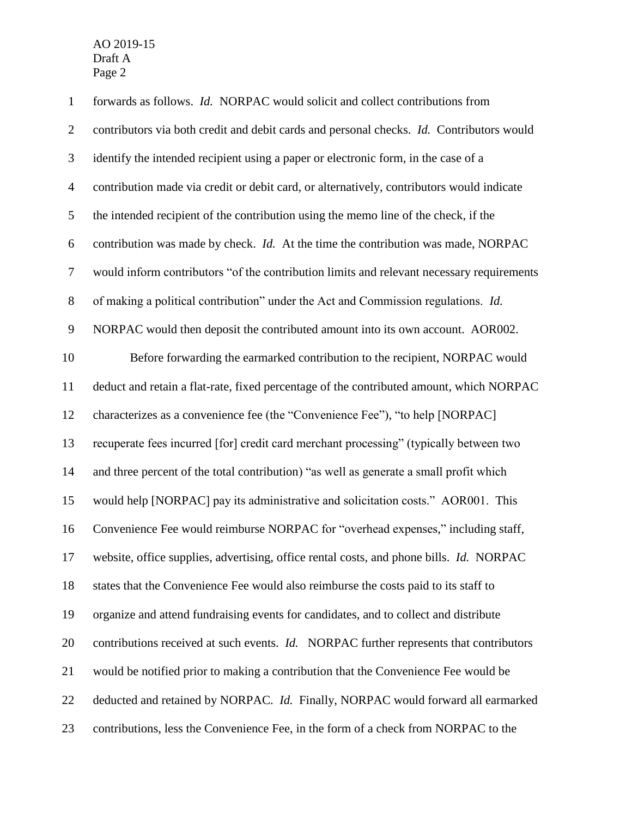| $\mathbf{1}$             | forwards as follows. Id. NORPAC would solicit and collect contributions from              |
|--------------------------|-------------------------------------------------------------------------------------------|
| $\overline{2}$           | contributors via both credit and debit cards and personal checks. Id. Contributors would  |
| $\mathfrak{Z}$           | identify the intended recipient using a paper or electronic form, in the case of a        |
| $\overline{\mathcal{A}}$ | contribution made via credit or debit card, or alternatively, contributors would indicate |
| $\mathfrak s$            | the intended recipient of the contribution using the memo line of the check, if the       |
| 6                        | contribution was made by check. Id. At the time the contribution was made, NORPAC         |
| $\boldsymbol{7}$         | would inform contributors "of the contribution limits and relevant necessary requirements |
| $8\,$                    | of making a political contribution" under the Act and Commission regulations. Id.         |
| $\mathbf{9}$             | NORPAC would then deposit the contributed amount into its own account. AOR002.            |
| 10                       | Before forwarding the earmarked contribution to the recipient, NORPAC would               |
| 11                       | deduct and retain a flat-rate, fixed percentage of the contributed amount, which NORPAC   |
| 12                       | characterizes as a convenience fee (the "Convenience Fee"), "to help [NORPAC]             |
| 13                       | recuperate fees incurred [for] credit card merchant processing" (typically between two    |
| 14                       | and three percent of the total contribution) "as well as generate a small profit which    |
| 15                       | would help [NORPAC] pay its administrative and solicitation costs." AOR001. This          |
| 16                       | Convenience Fee would reimburse NORPAC for "overhead expenses," including staff,          |
| 17                       | website, office supplies, advertising, office rental costs, and phone bills. Id. NORPAC   |
| 18                       | states that the Convenience Fee would also reimburse the costs paid to its staff to       |
| 19                       | organize and attend fundraising events for candidates, and to collect and distribute      |
| 20                       | contributions received at such events. Id. NORPAC further represents that contributors    |
| 21                       | would be notified prior to making a contribution that the Convenience Fee would be        |
| 22                       | deducted and retained by NORPAC. Id. Finally, NORPAC would forward all earmarked          |
| 23                       | contributions, less the Convenience Fee, in the form of a check from NORPAC to the        |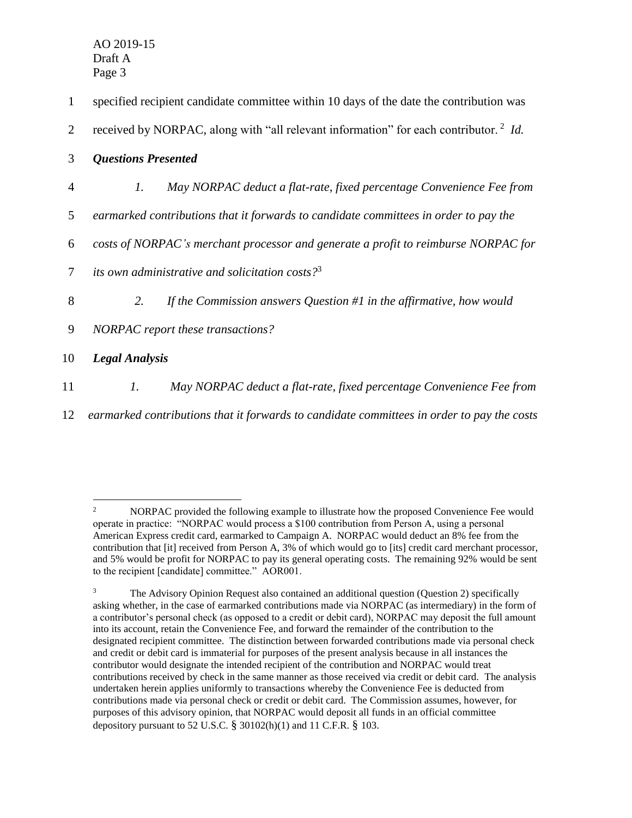$\overline{a}$ 

| 1  | specified recipient candidate committee within 10 days of the date the contribution was          |
|----|--------------------------------------------------------------------------------------------------|
| 2  | received by NORPAC, along with "all relevant information" for each contributor. <sup>2</sup> Id. |
| 3  | <b>Questions Presented</b>                                                                       |
| 4  | $\mathfrak{l}.$<br>May NORPAC deduct a flat-rate, fixed percentage Convenience Fee from          |
| 5  | earmarked contributions that it forwards to candidate committees in order to pay the             |
| 6  | costs of NORPAC's merchant processor and generate a profit to reimburse NORPAC for               |
| 7  | its own administrative and solicitation costs? <sup>3</sup>                                      |
| 8  | If the Commission answers Question $#1$ in the affirmative, how would<br>2.                      |
| 9  | NORPAC report these transactions?                                                                |
| 10 | <b>Legal Analysis</b>                                                                            |
| 11 | $\mathfrak{1}.$<br>May NORPAC deduct a flat-rate, fixed percentage Convenience Fee from          |

12 *earmarked contributions that it forwards to candidate committees in order to pay the costs* 

<sup>&</sup>lt;sup>2</sup> NORPAC provided the following example to illustrate how the proposed Convenience Fee would operate in practice: "NORPAC would process a \$100 contribution from Person A, using a personal American Express credit card, earmarked to Campaign A. NORPAC would deduct an 8% fee from the contribution that [it] received from Person A, 3% of which would go to [its] credit card merchant processor, and 5% would be profit for NORPAC to pay its general operating costs. The remaining 92% would be sent to the recipient [candidate] committee." AOR001.

 $3 \text{ The Advisory Opinion Request also contained an additional question (Question 2) specifically}$ asking whether, in the case of earmarked contributions made via NORPAC (as intermediary) in the form of a contributor's personal check (as opposed to a credit or debit card), NORPAC may deposit the full amount into its account, retain the Convenience Fee, and forward the remainder of the contribution to the designated recipient committee. The distinction between forwarded contributions made via personal check and credit or debit card is immaterial for purposes of the present analysis because in all instances the contributor would designate the intended recipient of the contribution and NORPAC would treat contributions received by check in the same manner as those received via credit or debit card. The analysis undertaken herein applies uniformly to transactions whereby the Convenience Fee is deducted from contributions made via personal check or credit or debit card. The Commission assumes, however, for purposes of this advisory opinion, that NORPAC would deposit all funds in an official committee depository pursuant to 52 U.S.C.  $\S$  30102(h)(1) and 11 C.F.R.  $\S$  103.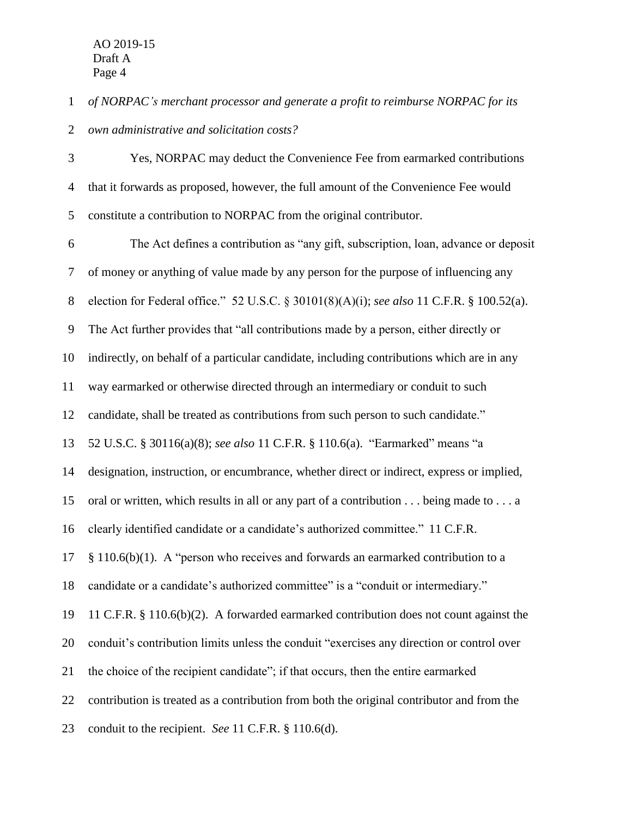*of NORPAC's merchant processor and generate a profit to reimburse NORPAC for its* 

*own administrative and solicitation costs?*

 Yes, NORPAC may deduct the Convenience Fee from earmarked contributions that it forwards as proposed, however, the full amount of the Convenience Fee would constitute a contribution to NORPAC from the original contributor.

 The Act defines a contribution as "any gift, subscription, loan, advance or deposit of money or anything of value made by any person for the purpose of influencing any election for Federal office." 52 U.S.C. § 30101(8)(A)(i); *see also* 11 C.F.R. § 100.52(a). The Act further provides that "all contributions made by a person, either directly or indirectly, on behalf of a particular candidate, including contributions which are in any way earmarked or otherwise directed through an intermediary or conduit to such candidate, shall be treated as contributions from such person to such candidate." 52 U.S.C. § 30116(a)(8); *see also* 11 C.F.R. § 110.6(a). "Earmarked" means "a designation, instruction, or encumbrance, whether direct or indirect, express or implied, oral or written, which results in all or any part of a contribution . . . being made to . . . a clearly identified candidate or a candidate's authorized committee." 11 C.F.R. § 110.6(b)(1). A "person who receives and forwards an earmarked contribution to a candidate or a candidate's authorized committee" is a "conduit or intermediary." 11 C.F.R. § 110.6(b)(2). A forwarded earmarked contribution does not count against the conduit's contribution limits unless the conduit "exercises any direction or control over the choice of the recipient candidate"; if that occurs, then the entire earmarked contribution is treated as a contribution from both the original contributor and from the conduit to the recipient. *See* 11 C.F.R. § 110.6(d).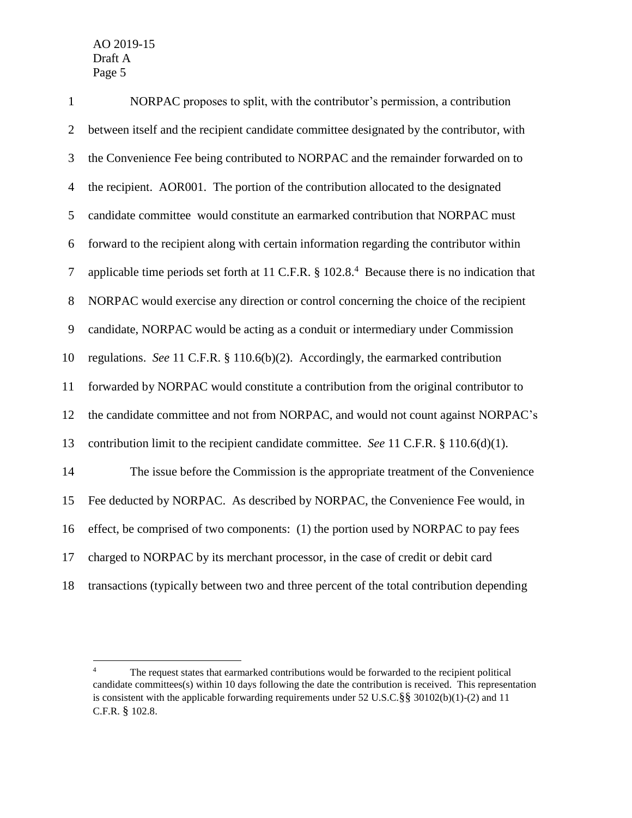| $\mathbf{1}$   | NORPAC proposes to split, with the contributor's permission, a contribution                                  |
|----------------|--------------------------------------------------------------------------------------------------------------|
| $\overline{2}$ | between itself and the recipient candidate committee designated by the contributor, with                     |
| 3              | the Convenience Fee being contributed to NORPAC and the remainder forwarded on to                            |
| $\overline{4}$ | the recipient. AOR001. The portion of the contribution allocated to the designated                           |
| 5              | candidate committee would constitute an earmarked contribution that NORPAC must                              |
| 6              | forward to the recipient along with certain information regarding the contributor within                     |
| $\overline{7}$ | applicable time periods set forth at 11 C.F.R. $\S 102.8$ . <sup>4</sup> Because there is no indication that |
| 8              | NORPAC would exercise any direction or control concerning the choice of the recipient                        |
| 9              | candidate, NORPAC would be acting as a conduit or intermediary under Commission                              |
| 10             | regulations. See 11 C.F.R. § 110.6(b)(2). Accordingly, the earmarked contribution                            |
| 11             | forwarded by NORPAC would constitute a contribution from the original contributor to                         |
| 12             | the candidate committee and not from NORPAC, and would not count against NORPAC's                            |
| 13             | contribution limit to the recipient candidate committee. See 11 C.F.R. § 110.6(d)(1).                        |
| 14             | The issue before the Commission is the appropriate treatment of the Convenience                              |
| 15             | Fee deducted by NORPAC. As described by NORPAC, the Convenience Fee would, in                                |
| 16             | effect, be comprised of two components: (1) the portion used by NORPAC to pay fees                           |
| 17             | charged to NORPAC by its merchant processor, in the case of credit or debit card                             |
| 18             | transactions (typically between two and three percent of the total contribution depending                    |

 $\overline{4}$  The request states that earmarked contributions would be forwarded to the recipient political candidate committees(s) within 10 days following the date the contribution is received. This representation is consistent with the applicable forwarding requirements under 52 U.S.C.§§ 30102(b)(1)-(2) and 11 C.F.R. § 102.8.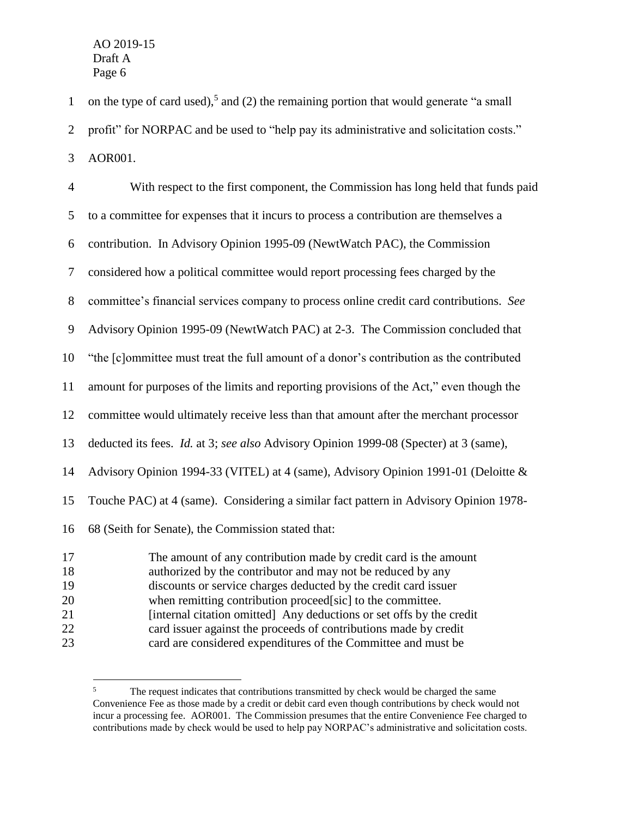1 on the type of card used),<sup>5</sup> and (2) the remaining portion that would generate "a small profit" for NORPAC and be used to "help pay its administrative and solicitation costs."

AOR001.

 $\overline{a}$ 

 With respect to the first component, the Commission has long held that funds paid to a committee for expenses that it incurs to process a contribution are themselves a contribution. In Advisory Opinion 1995-09 (NewtWatch PAC), the Commission considered how a political committee would report processing fees charged by the committee's financial services company to process online credit card contributions. *See*  Advisory Opinion 1995-09 (NewtWatch PAC) at 2-3. The Commission concluded that "the [c]ommittee must treat the full amount of a donor's contribution as the contributed amount for purposes of the limits and reporting provisions of the Act," even though the committee would ultimately receive less than that amount after the merchant processor deducted its fees. *Id.* at 3; *see also* Advisory Opinion 1999-08 (Specter) at 3 (same), Advisory Opinion 1994-33 (VITEL) at 4 (same), Advisory Opinion 1991-01 (Deloitte & Touche PAC) at 4 (same). Considering a similar fact pattern in Advisory Opinion 1978- 68 (Seith for Senate), the Commission stated that: The amount of any contribution made by credit card is the amount authorized by the contributor and may not be reduced by any discounts or service charges deducted by the credit card issuer

- when remitting contribution proceed[sic] to the committee.
- [internal citation omitted] Any deductions or set offs by the credit
- card issuer against the proceeds of contributions made by credit
- card are considered expenditures of the Committee and must be

<sup>&</sup>lt;sup>5</sup> The request indicates that contributions transmitted by check would be charged the same Convenience Fee as those made by a credit or debit card even though contributions by check would not incur a processing fee. AOR001. The Commission presumes that the entire Convenience Fee charged to contributions made by check would be used to help pay NORPAC's administrative and solicitation costs.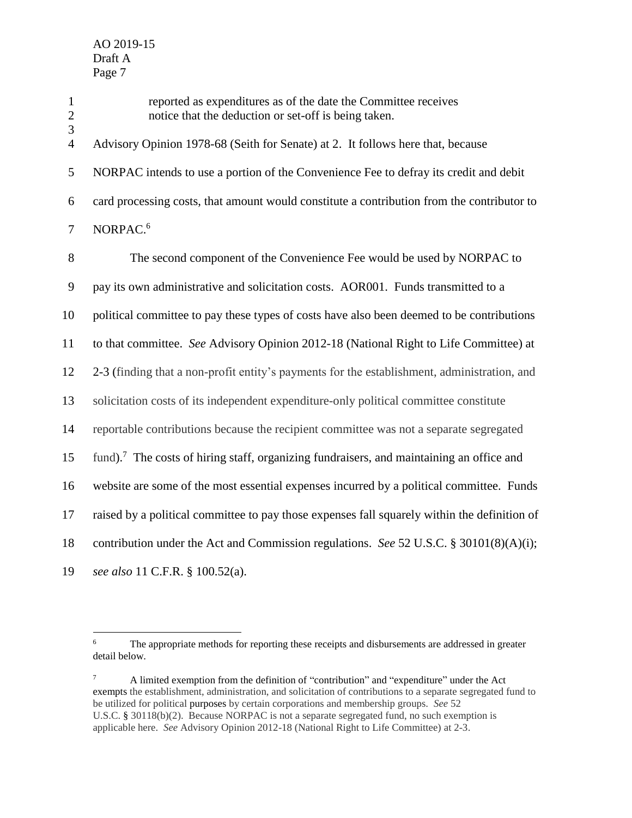1 reported as expenditures as of the date the Committee receives<br>2 notice that the deduction or set-off is being taken. notice that the deduction or set-off is being taken. 3 Advisory Opinion 1978-68 (Seith for Senate) at 2. It follows here that, because NORPAC intends to use a portion of the Convenience Fee to defray its credit and debit card processing costs, that amount would constitute a contribution from the contributor to NORPAC. 6 7 The second component of the Convenience Fee would be used by NORPAC to pay its own administrative and solicitation costs. AOR001. Funds transmitted to a political committee to pay these types of costs have also been deemed to be contributions to that committee. *See* Advisory Opinion 2012-18 (National Right to Life Committee) at 2-3 (finding that a non-profit entity's payments for the establishment, administration, and solicitation costs of its independent expenditure-only political committee constitute reportable contributions because the recipient committee was not a separate segregated 15 fund).<sup>7</sup> The costs of hiring staff, organizing fundraisers, and maintaining an office and website are some of the most essential expenses incurred by a political committee. Funds raised by a political committee to pay those expenses fall squarely within the definition of contribution under the Act and Commission regulations. *See* 52 U.S.C. § 30101(8)(A)(i); *see also* 11 C.F.R. § 100.52(a).

 $7 \text{ A limited exception from the definition of "contribution" and "expenditure" under the Act$ exempts the establishment, administration, and solicitation of contributions to a separate segregated fund to be utilized for political purposes by certain corporations and membership groups. *See* 52 U.S.C. § 30118(b)(2). Because NORPAC is not a separate segregated fund, no such exemption is applicable here. *See* Advisory Opinion 2012-18 (National Right to Life Committee) at 2-3.

 $\overline{6}$ <sup>6</sup> The appropriate methods for reporting these receipts and disbursements are addressed in greater detail below.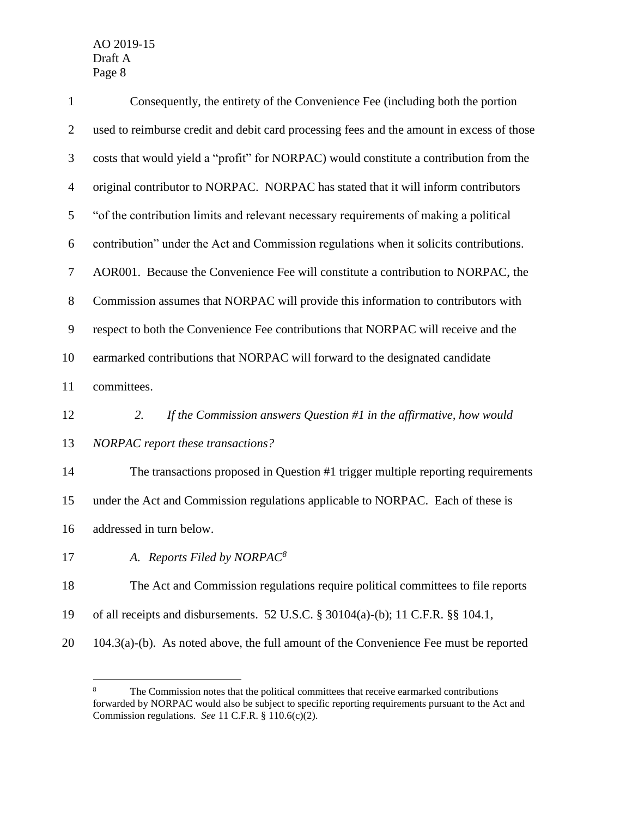| $\mathbf{1}$   | Consequently, the entirety of the Convenience Fee (including both the portion             |
|----------------|-------------------------------------------------------------------------------------------|
| $\overline{c}$ | used to reimburse credit and debit card processing fees and the amount in excess of those |
| 3              | costs that would yield a "profit" for NORPAC) would constitute a contribution from the    |
| $\overline{4}$ | original contributor to NORPAC. NORPAC has stated that it will inform contributors        |
| $\mathfrak s$  | "of the contribution limits and relevant necessary requirements of making a political     |
| 6              | contribution" under the Act and Commission regulations when it solicits contributions.    |
| $\tau$         | AOR001. Because the Convenience Fee will constitute a contribution to NORPAC, the         |
| $8\,$          | Commission assumes that NORPAC will provide this information to contributors with         |
| 9              | respect to both the Convenience Fee contributions that NORPAC will receive and the        |
| 10             | earmarked contributions that NORPAC will forward to the designated candidate              |
| 11             | committees.                                                                               |
| 12             | If the Commission answers Question $#1$ in the affirmative, how would<br>2.               |
| 13             | NORPAC report these transactions?                                                         |
| 14             | The transactions proposed in Question #1 trigger multiple reporting requirements          |
| 15             | under the Act and Commission regulations applicable to NORPAC. Each of these is           |
| 16             | addressed in turn below.                                                                  |
| 17             | A. Reports Filed by NORPAC <sup>8</sup>                                                   |
| 18             | The Act and Commission regulations require political committees to file reports           |
| 19             | of all receipts and disbursements. 52 U.S.C. § 30104(a)-(b); 11 C.F.R. §§ 104.1,          |
| 20             | $104.3(a)$ -(b). As noted above, the full amount of the Convenience Fee must be reported  |

 $\bf 8$ The Commission notes that the political committees that receive earmarked contributions forwarded by NORPAC would also be subject to specific reporting requirements pursuant to the Act and Commission regulations. *See* 11 C.F.R. § 110.6(c)(2).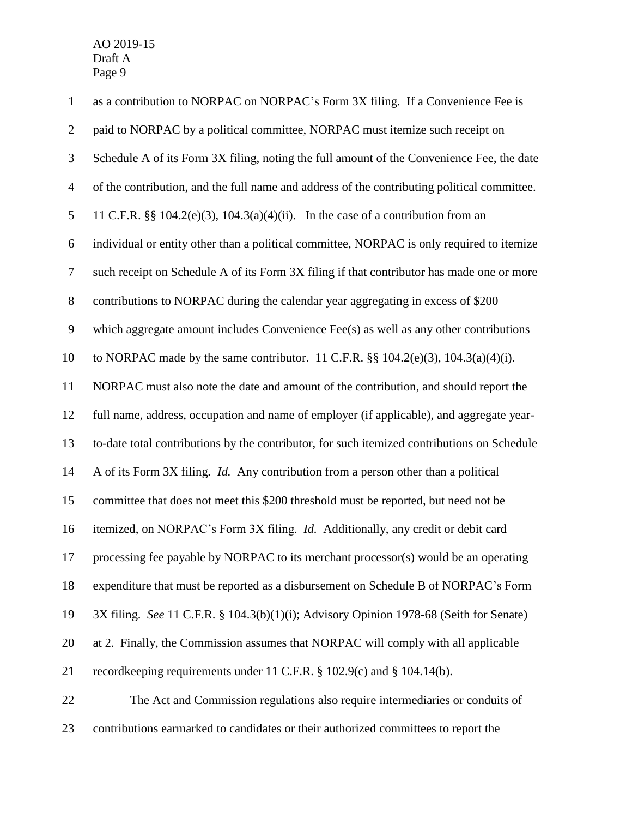| $\mathbf{1}$   | as a contribution to NORPAC on NORPAC's Form 3X filing. If a Convenience Fee is             |
|----------------|---------------------------------------------------------------------------------------------|
| $\overline{2}$ | paid to NORPAC by a political committee, NORPAC must itemize such receipt on                |
| 3              | Schedule A of its Form 3X filing, noting the full amount of the Convenience Fee, the date   |
| $\overline{4}$ | of the contribution, and the full name and address of the contributing political committee. |
| $\mathfrak{S}$ | 11 C.F.R. §§ 104.2(e)(3), 104.3(a)(4)(ii). In the case of a contribution from an            |
| 6              | individual or entity other than a political committee, NORPAC is only required to itemize   |
| $\tau$         | such receipt on Schedule A of its Form 3X filing if that contributor has made one or more   |
| $8\,$          | contributions to NORPAC during the calendar year aggregating in excess of \$200-            |
| $\mathbf{9}$   | which aggregate amount includes Convenience Fee(s) as well as any other contributions       |
| 10             | to NORPAC made by the same contributor. 11 C.F.R. $\S$ $104.2(e)(3)$ , $104.3(a)(4)(i)$ .   |
| 11             | NORPAC must also note the date and amount of the contribution, and should report the        |
| 12             | full name, address, occupation and name of employer (if applicable), and aggregate year-    |
| 13             | to-date total contributions by the contributor, for such itemized contributions on Schedule |
| 14             | A of its Form 3X filing. Id. Any contribution from a person other than a political          |
| 15             | committee that does not meet this \$200 threshold must be reported, but need not be         |
| 16             | itemized, on NORPAC's Form 3X filing. <i>Id.</i> Additionally, any credit or debit card     |
| 17             | processing fee payable by NORPAC to its merchant processor(s) would be an operating         |
| 18             | expenditure that must be reported as a disbursement on Schedule B of NORPAC's Form          |
| 19             | 3X filing. See 11 C.F.R. § 104.3(b)(1)(i); Advisory Opinion 1978-68 (Seith for Senate)      |
| 20             | at 2. Finally, the Commission assumes that NORPAC will comply with all applicable           |
| 21             | record keeping requirements under 11 C.F.R. § 102.9(c) and § 104.14(b).                     |
| 22             | The Act and Commission regulations also require intermediaries or conduits of               |
| 23             | contributions earmarked to candidates or their authorized committees to report the          |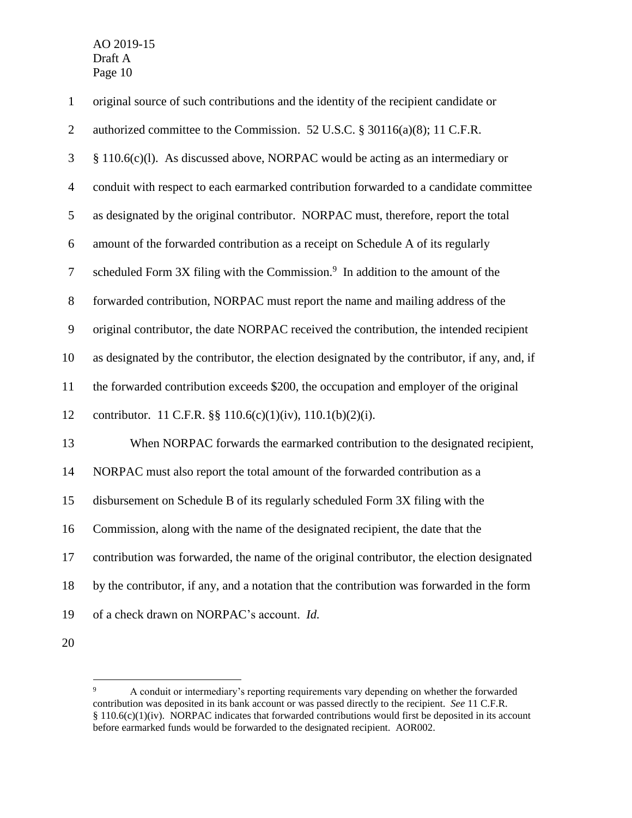$\overline{a}$ 

| $\mathbf{1}$   | original source of such contributions and the identity of the recipient candidate or          |
|----------------|-----------------------------------------------------------------------------------------------|
| $\overline{2}$ | authorized committee to the Commission. 52 U.S.C. § 30116(a)(8); 11 C.F.R.                    |
| 3              | $§$ 110.6(c)(l). As discussed above, NORPAC would be acting as an intermediary or             |
| $\overline{4}$ | conduit with respect to each earmarked contribution forwarded to a candidate committee        |
| 5              | as designated by the original contributor. NORPAC must, therefore, report the total           |
| 6              | amount of the forwarded contribution as a receipt on Schedule A of its regularly              |
| $\tau$         | scheduled Form 3X filing with the Commission. <sup>9</sup> In addition to the amount of the   |
| $8\,$          | forwarded contribution, NORPAC must report the name and mailing address of the                |
| $\mathbf{9}$   | original contributor, the date NORPAC received the contribution, the intended recipient       |
| 10             | as designated by the contributor, the election designated by the contributor, if any, and, if |
| 11             | the forwarded contribution exceeds \$200, the occupation and employer of the original         |
| 12             | contributor. 11 C.F.R. $\S\S 110.6(c)(1)(iv)$ , 110.1(b)(2)(i).                               |
| 13             | When NORPAC forwards the earmarked contribution to the designated recipient,                  |
| 14             | NORPAC must also report the total amount of the forwarded contribution as a                   |
| 15             | disbursement on Schedule B of its regularly scheduled Form 3X filing with the                 |
| 16             | Commission, along with the name of the designated recipient, the date that the                |
| 17             | contribution was forwarded, the name of the original contributor, the election designated     |
| 18             | by the contributor, if any, and a notation that the contribution was forwarded in the form    |
| 19             | of a check drawn on NORPAC's account. Id.                                                     |
| 20             |                                                                                               |

<sup>&</sup>lt;sup>9</sup> A conduit or intermediary's reporting requirements vary depending on whether the forwarded contribution was deposited in its bank account or was passed directly to the recipient. *See* 11 C.F.R. § 110.6(c)(1)(iv). NORPAC indicates that forwarded contributions would first be deposited in its account before earmarked funds would be forwarded to the designated recipient. AOR002.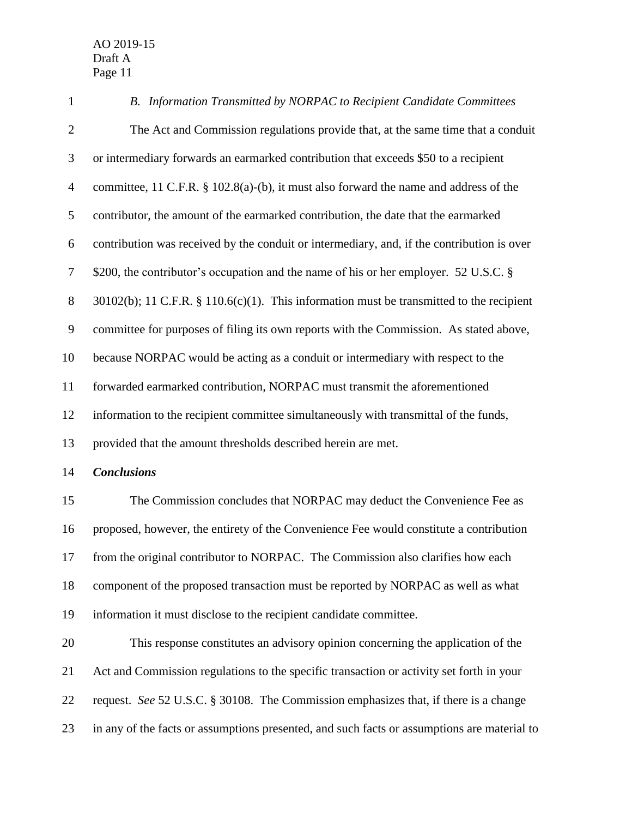*B. Information Transmitted by NORPAC to Recipient Candidate Committees* The Act and Commission regulations provide that, at the same time that a conduit or intermediary forwards an earmarked contribution that exceeds \$50 to a recipient committee, 11 C.F.R. § 102.8(a)-(b), it must also forward the name and address of the contributor, the amount of the earmarked contribution, the date that the earmarked contribution was received by the conduit or intermediary, and, if the contribution is over \$200, the contributor's occupation and the name of his or her employer. 52 U.S.C. § 8 30102(b); 11 C.F.R. § 110.6(c)(1). This information must be transmitted to the recipient committee for purposes of filing its own reports with the Commission. As stated above, because NORPAC would be acting as a conduit or intermediary with respect to the forwarded earmarked contribution, NORPAC must transmit the aforementioned information to the recipient committee simultaneously with transmittal of the funds, provided that the amount thresholds described herein are met. *Conclusions* The Commission concludes that NORPAC may deduct the Convenience Fee as proposed, however, the entirety of the Convenience Fee would constitute a contribution from the original contributor to NORPAC. The Commission also clarifies how each component of the proposed transaction must be reported by NORPAC as well as what information it must disclose to the recipient candidate committee. This response constitutes an advisory opinion concerning the application of the Act and Commission regulations to the specific transaction or activity set forth in your request. *See* 52 U.S.C. § 30108. The Commission emphasizes that, if there is a change in any of the facts or assumptions presented, and such facts or assumptions are material to